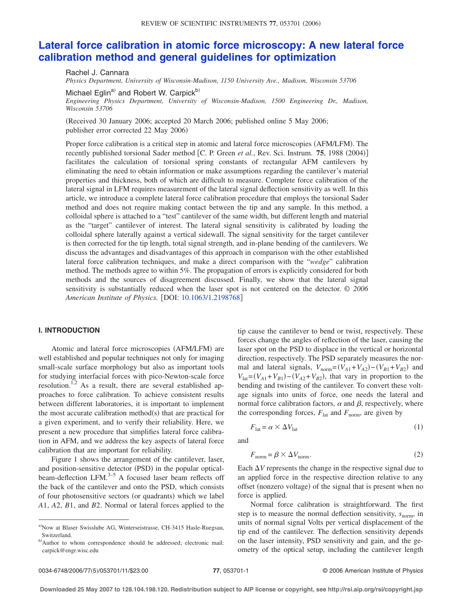# **Lateral force calibration in atomic force [microscopy:](http://dx.doi.org/10.1063/1.2198768) A new lateral force calibration method and general guidelines for [optimization](http://dx.doi.org/10.1063/1.2198768)**

Rachel J. Cannara *Physics Department, University of Wisconsin-Madison, 1150 University Ave., Madison, Wisconsin 53706*

Michael Eglin<sup>a)</sup> and Robert W. Carpick<sup>b)</sup>

*Engineering Physics Department, University of Wisconsin-Madison, 1500 Engineering Dr., Madison, Wisconsin 53706*

(Received 30 January 2006; accepted 20 March 2006; published online 5 May 2006; publisher error corrected 22 May 2006)

Proper force calibration is a critical step in atomic and lateral force microscopies (AFM/LFM). The recently published torsional Sader method  $[C. P. Green *et al.*, Rev. Sci. Instrument **75**, 1988 (2004)]$ facilitates the calculation of torsional spring constants of rectangular AFM cantilevers by eliminating the need to obtain information or make assumptions regarding the cantilever's material properties and thickness, both of which are difficult to measure. Complete force calibration of the lateral signal in LFM requires measurement of the lateral signal deflection sensitivity as well. In this article, we introduce a complete lateral force calibration procedure that employs the torsional Sader method and does not require making contact between the tip and any sample. In this method, a colloidal sphere is attached to a "test" cantilever of the same width, but different length and material as the "target" cantilever of interest. The lateral signal sensitivity is calibrated by loading the colloidal sphere laterally against a vertical sidewall. The signal sensitivity for the target cantilever is then corrected for the tip length, total signal strength, and in-plane bending of the cantilevers. We discuss the advantages and disadvantages of this approach in comparison with the other established lateral force calibration techniques, and make a direct comparison with the "*wedge*" calibration method. The methods agree to within 5%. The propagation of errors is explicitly considered for both methods and the sources of disagreement discussed. Finally, we show that the lateral signal sensitivity is substantially reduced when the laser spot is not centered on the detector. *© 2006 American Institute of Physics.* [DOI: [10.1063/1.2198768](http://dx.doi.org/10.1063/1.2198768)]

# **I. INTRODUCTION**

Atomic and lateral force microscopies (AFM/LFM) are well established and popular techniques not only for imaging small-scale surface morphology but also as important tools for studying interfacial forces with pico-Newton-scale force resolution.<sup>1,2</sup> As a result, there are several established approaches to force calibration. To achieve consistent results between different laboratories, it is important to implement the most accurate calibration method(s) that are practical for a given experiment, and to verify their reliability. Here, we present a new procedure that simplifies lateral force calibration in AFM, and we address the key aspects of lateral force calibration that are important for reliability.

Figure 1 shows the arrangement of the cantilever, laser, and position-sensitive detector (PSD) in the popular opticalbeam-deflection LFM. $3-5$  A focused laser beam reflects off the back of the cantilever and onto the PSD, which consists of four photosensitive sectors (or quadrants) which we label *A*1, *A*2, *B*1, and *B*2. Normal or lateral forces applied to the tip cause the cantilever to bend or twist, respectively. These forces change the angles of reflection of the laser, causing the laser spot on the PSD to displace in the vertical or horizontal direction, respectively. The PSD separately measures the normal and lateral signals,  $V_{\text{norm}} = (V_{A1} + V_{A2}) - (V_{B1} + V_{B2})$  and  $V_{\text{lat}} = (V_{A1} + V_{B1}) - (V_{A2} + V_{B2})$ , that vary in proportion to the bending and twisting of the cantilever. To convert these voltage signals into units of force, one needs the lateral and normal force calibration factors,  $\alpha$  and  $\beta$ , respectively, where the corresponding forces,  $F_{\text{lat}}$  and  $F_{\text{norm}}$ , are given by

$$
F_{\text{lat}} = \alpha \times \Delta V_{\text{lat}} \tag{1}
$$

and

$$
F_{\text{norm}} = \beta \times \Delta V_{\text{norm}}.\tag{2}
$$

Each  $\Delta V$  represents the change in the respective signal due to an applied force in the respective direction relative to any offset (nonzero voltage) of the signal that is present when no force is applied.

Normal force calibration is straightforward. The first step is to measure the normal deflection sensitivity,  $s_{norm}$ , in units of normal signal Volts per vertical displacement of the tip end of the cantilever. The deflection sensitivity depends on the laser intensity, PSD sensitivity and gain, and the geometry of the optical setup, including the cantilever length

a) Now at Blaser Swisslube AG, Winterseistrasse, CH-3415 Hasle-Ruegsau, Switzerland.

b)Author to whom correspondence should be addressed; electronic mail: carpick@engr.wisc.edu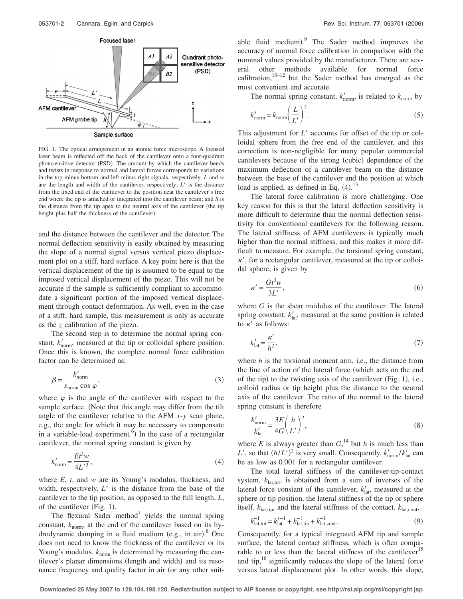

FIG. 1. The optical arrangement in an atomic force microscope. A focused laser beam is reflected off the back of the cantilever onto a four-quadrant photosensitive detector (PSD). The amount by which the cantilever bends and twists in response to normal and lateral forces corresponds to variations in the top minus bottom and left minus right signals, respectively. *L* and *w* are the length and width of the cantilever, respectively;  $L'$  is the distance from the fixed end of the cantilever to the position near the cantilever's free end where the tip is attached or integrated into the cantilever beam; and *h* is the distance from the tip apex to the neutral axis of the cantilever (the tip height plus half the thickness of the cantilever).

and the distance between the cantilever and the detector. The normal deflection sensitivity is easily obtained by measuring the slope of a normal signal versus vertical piezo displacement plot on a stiff, hard surface. A key point here is that the vertical displacement of the tip is assumed to be equal to the imposed vertical displacement of the piezo. This will not be accurate if the sample is sufficiently compliant to accommodate a significant portion of the imposed vertical displacement through contact deformation. As well, even in the case of a stiff, hard sample, this measurement is only as accurate as the *z* calibration of the piezo.

The second step is to determine the normal spring constant,  $k'_{\text{norm}}$ , measured at the tip or colloidal sphere position. Once this is known, the complete normal force calibration factor can be determined as,

$$
\beta = \frac{k'_{\text{norm}}}{s_{\text{norm}} \cos \varphi},\tag{3}
$$

where  $\varphi$  is the angle of the cantilever with respect to the sample surface. (Note that this angle may differ from the tilt angle of the cantilever relative to the AFM *x*-*y* scan plane, e.g., the angle for which it may be necessary to compensate in a variable-load experiment.<sup>6</sup>) In the case of a rectangular cantilever, the normal spring constant is given by

$$
k'_{\text{norm}} = \frac{Et^3w}{4L'^3},\tag{4}
$$

where *E*, *t*, and *w* are its Young's modulus, thickness, and width, respectively.  $L'$  is the distance from the base of the cantilever to the tip position, as opposed to the full length, *L*, of the cantilever (Fig.  $1$ ).

The flexural Sader method<sup>7</sup> yields the normal spring constant,  $k_{\text{norm}}$ , at the end of the cantilever based on its hydrodynamic damping in a fluid medium (e.g., in air).<sup>8</sup> One does not need to know the thickness of the cantilever or its Young's modulus.  $k_{\text{norm}}$  is determined by measuring the cantilever's planar dimensions (length and width) and its resonance frequency and quality factor in air (or any other suit-

able fluid medium). The Sader method improves the accuracy of normal force calibration in comparison with the nominal values provided by the manufacturer. There are several other methods available for normal force calibration, $10-12$  but the Sader method has emerged as the most convenient and accurate.

The normal spring constant,  $k'_{\text{norm}}$ , is related to  $k_{\text{norm}}$  by

$$
k'_{\text{norm}} = k_{\text{norm}} \left(\frac{L}{L'}\right)^3. \tag{5}
$$

This adjustment for *L'* accounts for offset of the tip or colloidal sphere from the free end of the cantilever, and this correction is non-negligible for many popular commercial cantilevers because of the strong (cubic) dependence of the maximum deflection of a cantilever beam on the distance between the base of the cantilever and the position at which load is applied, as defined in Eq.  $(4)$ .<sup>13</sup>

The lateral force calibration is more challenging. One key reason for this is that the lateral deflection sensitivity is more difficult to determine than the normal deflection sensitivity for conventional cantilevers for the following reason. The lateral stiffness of AFM cantilevers is typically much higher than the normal stiffness, and this makes it more difficult to measure. For example, the torsional spring constant,  $\kappa'$ , for a rectangular cantilever, measured at the tip or colloidal sphere, is given by

$$
\kappa' = \frac{Gt^3w}{3L'},\tag{6}
$$

where *G* is the shear modulus of the cantilever. The lateral spring constant,  $k_{\text{lat}}'$ , measured at the same position is related to  $\kappa'$  as follows:

$$
k'_{\text{lat}} = \frac{\kappa'}{h^2},\tag{7}
$$

where *h* is the torsional moment arm, i.e., the distance from the line of action of the lateral force (which acts on the end of the tip) to the twisting axis of the cantilever  $(Fig. 1)$ , i.e., colloid radius or tip height plus the distance to the neutral axis of the cantilever. The ratio of the normal to the lateral spring constant is therefore

$$
\frac{k'_{\text{norm}}}{k'_{\text{lat}}} = \frac{3E}{4G} \left(\frac{h}{L'}\right)^2,\tag{8}
$$

where *E* is always greater than  $G<sub>1</sub><sup>14</sup>$  but *h* is much less than *L*', so that  $(h/L')^2$  is very small. Consequently,  $k'_{\text{norm}}/k'_{\text{lat}}$  can be as low as 0.001 for a rectangular cantilever.

The total lateral stiffness of the cantilever-tip-contact system,  $k_{\text{lattot}}$ , is obtained from a sum of inverses of the lateral force constant of the cantilever,  $k'_{\text{lat}}$ , measured at the sphere or tip position, the lateral stiffness of the tip or sphere itself,  $k_{\text{lat,tip}}$ , and the lateral stiffness of the contact,  $k_{\text{lat,cont}}$ ,

$$
k_{\text{lat,tot}}^{-1} = k_{\text{lat}}^{\prime -1} + k_{\text{lat,tip}}^{-1} + k_{\text{lat,cont}}^{-1}.
$$
 (9)

Consequently, for a typical integrated AFM tip and sample surface, the lateral contact stiffness, which is often comparable to or less than the lateral stiffness of the cantilever<sup>15</sup> and tip, $16$  significantly reduces the slope of the lateral force versus lateral displacement plot. In other words, this slope,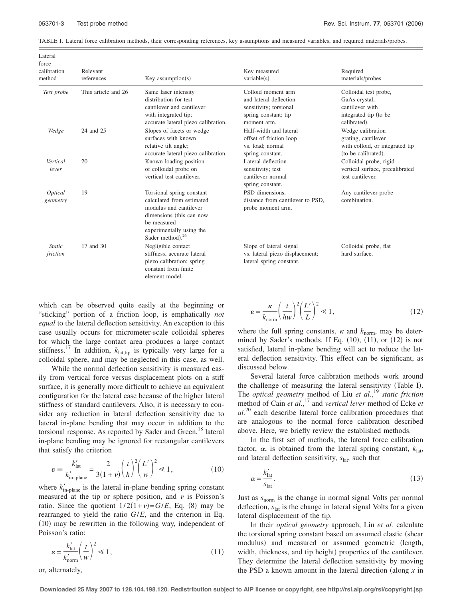TABLE I. Lateral force calibration methods, their corresponding references, key assumptions and measured variables, and required materials/probes.

| force<br>calibration<br>method | Relevant<br>references | Key assumption( $s$ )                                                                                                                                                          | Key measured<br>variable(s)                                                                                   | Required<br>materials/probes                                                                       |
|--------------------------------|------------------------|--------------------------------------------------------------------------------------------------------------------------------------------------------------------------------|---------------------------------------------------------------------------------------------------------------|----------------------------------------------------------------------------------------------------|
| Test probe                     | This article and 26    | Same laser intensity<br>distribution for test<br>cantilever and cantilever<br>with integrated tip;<br>accurate lateral piezo calibration.                                      | Colloid moment arm<br>and lateral deflection<br>sensitivity; torsional<br>spring constant; tip<br>moment arm. | Colloidal test probe,<br>GaAs crystal,<br>cantilever with<br>integrated tip (to be<br>calibrated). |
| Wedge                          | 24 and 25              | Slopes of facets or wedge<br>surfaces with known<br>relative tilt angle;<br>accurate lateral piezo calibration.                                                                | Half-width and lateral<br>offset of friction loop<br>vs. load; normal<br>spring constant.                     | Wedge calibration<br>grating, cantilever<br>with colloid, or integrated tip<br>(to be calibrated). |
| Vertical<br>lever              | 20                     | Known loading position<br>of colloidal probe on<br>vertical test cantilever.                                                                                                   | Lateral deflection<br>sensitivity; test<br>cantilever normal<br>spring constant.                              | Colloidal probe, rigid<br>vertical surface, precalibrated<br>test cantilever.                      |
| Optical<br>geometry            | 19                     | Torsional spring constant<br>calculated from estimated<br>modulus and cantilever<br>dimensions (this can now<br>be measured<br>experimentally using the<br>Sader method). $26$ | PSD dimensions.<br>distance from cantilever to PSD,<br>probe moment arm.                                      | Any cantilever-probe<br>combination.                                                               |
| <b>Static</b><br>friction      | 17 and 30              | Negligible contact<br>stiffness, accurate lateral<br>piezo calibration; spring<br>constant from finite<br>element model.                                                       | Slope of lateral signal<br>vs. lateral piezo displacement;<br>lateral spring constant.                        | Colloidal probe, flat<br>hard surface.                                                             |

which can be observed quite easily at the beginning or "sticking" portion of a friction loop, is emphatically *not equal* to the lateral deflection sensitivity. An exception to this case usually occurs for micrometer-scale colloidal spheres for which the large contact area produces a large contact stiffness.<sup>17</sup> In addition,  $k<sub>lattip</sub>$  is typically very large for a colloidal sphere, and may be neglected in this case, as well.

While the normal deflection sensitivity is measured easily from vertical force versus displacement plots on a stiff surface, it is generally more difficult to achieve an equivalent configuration for the lateral case because of the higher lateral stiffness of standard cantilevers. Also, it is necessary to consider any reduction in lateral deflection sensitivity due to lateral in-plane bending that may occur in addition to the torsional response. As reported by Sader and Green,<sup>18</sup> lateral in-plane bending may be ignored for rectangular cantilevers that satisfy the criterion

$$
\varepsilon = \frac{k'_{\text{lat}}}{k'_{\text{in-plane}}} = \frac{2}{3(1+\nu)} \left(\frac{t}{h}\right)^2 \left(\frac{L'}{w}\right)^2 \ll 1,\tag{10}
$$

where  $k'_{\text{in-plane}}$  is the lateral in-plane bending spring constant measured at the tip or sphere position, and  $\nu$  is Poisson's ratio. Since the quotient  $1/2(1+\nu)=G/E$ , Eq. (8) may be rearranged to yield the ratio *G*/*E*, and the criterion in Eq.  $(10)$  may be rewritten in the following way, independent of Poisson's ratio:

$$
\varepsilon = \frac{k'_{\text{lat}}}{k'_{\text{norm}}} \left(\frac{t}{w}\right)^2 \ll 1,\tag{11}
$$

$$
\varepsilon = \frac{\kappa}{k_{\text{norm}}} \left(\frac{t}{hw}\right)^2 \left(\frac{L'}{L}\right)^2 \ll 1,\tag{12}
$$

where the full spring constants,  $\kappa$  and  $k_{\text{norm}}$ , may be determined by Sader's methods. If Eq.  $(10)$ ,  $(11)$ , or  $(12)$  is not satisfied, lateral in-plane bending will act to reduce the lateral deflection sensitivity. This effect can be significant, as discussed below.

Several lateral force calibration methods work around the challenge of measuring the lateral sensitivity (Table I). The *optical geometry* method of Liu *et al.*, <sup>19</sup> *static friction* method of Cain *et al.*, <sup>17</sup> and *vertical lever* method of Ecke *et al.*<sup>20</sup> each describe lateral force calibration procedures that are analogous to the normal force calibration described above. Here, we briefly review the established methods.

In the first set of methods, the lateral force calibration factor,  $\alpha$ , is obtained from the lateral spring constant,  $k_{\text{lat}}$ , and lateral deflection sensitivity,  $s<sub>lat</sub>$ , such that

$$
\alpha = \frac{k'_{\text{lat}}}{s_{\text{lat}}}.\tag{13}
$$

Just as *s*norm is the change in normal signal Volts per normal deflection, *s*lat is the change in lateral signal Volts for a given lateral displacement of the tip.

In their *optical geometry* approach, Liu *et al.* calculate the torsional spring constant based on assumed elastic (shear modulus) and measured or assumed geometric (length, width, thickness, and tip height) properties of the cantilever. They determine the lateral deflection sensitivity by moving the PSD a known amount in the lateral direction (along  $x$  in

or, alternately,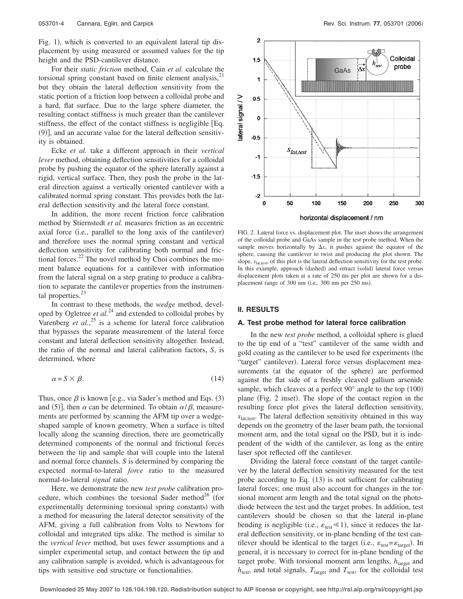Fig. 1), which is converted to an equivalent lateral tip displacement by using measured or assumed values for the tip height and the PSD-cantilever distance.

For their *static friction* method, Cain *et al.* calculate the torsional spring constant based on finite element analysis,<sup>21</sup> but they obtain the lateral deflection sensitivity from the static portion of a friction loop between a colloidal probe and a hard, flat surface. Due to the large sphere diameter, the resulting contact stiffness is much greater than the cantilever stiffness, the effect of the contact stiffness is negligible  $[Eq.$  $(9)$ , and an accurate value for the lateral deflection sensitivity is obtained.

Ecke *et al.* take a different approach in their *vertical lever* method, obtaining deflection sensitivities for a colloidal probe by pushing the equator of the sphere laterally against a rigid, vertical surface. Then, they push the probe in the lateral direction against a vertically oriented cantilever with a calibrated normal spring constant. This provides both the lateral deflection sensitivity and the lateral force constant.

In addition, the more recent friction force calibration method by Stiernstedt *et al.* measures friction as an eccentric axial force (i.e., parallel to the long axis of the cantilever) and therefore uses the normal spring constant and vertical deflection sensitivity for calibrating both normal and frictional forces. $^{22}$  The novel method by Choi combines the moment balance equations for a cantilever with information from the lateral signal on a step grating to produce a calibration to separate the cantilever properties from the instrumental properties. $^{23}$ 

In contrast to these methods, the *wedge* method, developed by Ogletree *et al.*<sup>24</sup> and extended to colloidal probes by Varenberg *et al.*<sup>25</sup> is a scheme for lateral force calibration that bypasses the separate measurement of the lateral force constant and lateral deflection sensitivity altogether. Instead, the ratio of the normal and lateral calibration factors, *S*, is determined, where

$$
\alpha = S \times \beta. \tag{14}
$$

Thus, once  $\beta$  is known [e.g., via Sader's method and Eqs. (3) and (5)], then  $\alpha$  can be determined. To obtain  $\alpha/\beta$ , measurements are performed by scanning the AFM tip over a wedgeshaped sample of known geometry. When a surface is tilted locally along the scanning direction, there are geometrically determined components of the normal and frictional forces between the tip and sample that will couple into the lateral and normal force channels. *S* is determined by comparing the expected normal-to-lateral *force* ratio to the measured normal-to-lateral *signal* ratio.

Here, we demonstrate the new *test probe* calibration procedure, which combines the torsional Sader method<sup>26</sup> (for experimentally determining torsional spring constants) with a method for measuring the lateral detector sensitivity of the AFM, giving a full calibration from Volts to Newtons for colloidal and integrated tips alike. The method is similar to the *vertical lever* method, but uses fewer assumptions and a simpler experimental setup, and contact between the tip and any calibration sample is avoided, which is advantageous for tips with sensitive end structure or functionalities.



FIG. 2. Lateral force vs. displacement plot. The inset shows the arrangement of the colloidal probe and GaAs sample in the test probe method. When the sample moves horizontally by  $\Delta x$ , it pushes against the equator of the sphere, causing the cantilever to twist and producing the plot shown. The slope,  $s<sub>lattest</sub>$ , of this plot is the lateral deflection sensitivity for the test probe. In this example, approach (dashed) and retract (solid) lateral force versus displacement plots taken at a rate of 250 ms per plot are shown for a displacement range of 300 nm (i.e., 300 nm per 250 ms).

#### **II. RESULTS**

#### **A. Test probe method for lateral force calibration**

In the new *test probe* method, a colloidal sphere is glued to the tip end of a "test" cantilever of the same width and gold coating as the cantilever to be used for experiments (the "target" cantilever). Lateral force versus displacement measurements (at the equator of the sphere) are performed against the flat side of a freshly cleaved gallium arsenide sample, which cleaves at a perfect  $90^{\circ}$  angle to the top  $(100)$ plane (Fig. 2 inset). The slope of the contact region in the resulting force plot gives the lateral deflection sensitivity,  $s<sub>lat test</sub>$ . The lateral deflection sensitivity obtained in this way depends on the geometry of the laser beam path, the torsional moment arm, and the total signal on the PSD, but it is independent of the width of the cantilever, as long as the entire laser spot reflected off the cantilever.

Dividing the lateral force constant of the target cantilever by the lateral deflection sensitivity measured for the test probe according to Eq.  $(13)$  is not sufficient for calibrating lateral forces; one must also account for changes in the torsional moment arm length and the total signal on the photodiode between the test and the target probes. In addition, test cantilevers should be chosen so that the lateral in-plane bending is negligible (i.e.,  $\varepsilon_{\text{test}} \le 1$ ), since it reduces the lateral deflection sensitivity, or in-plane bending of the test cantilever should be identical to the target (i.e.,  $\varepsilon_{\text{test}} = \varepsilon_{\text{target}}$ ). In general, it is necessary to correct for in-plane bending of the target probe. With torsional moment arm lengths,  $h_{\text{target}}$  and  $h_{\text{test}}$ , and total signals,  $T_{\text{target}}$  and  $T_{\text{test}}$ , for the colloidal test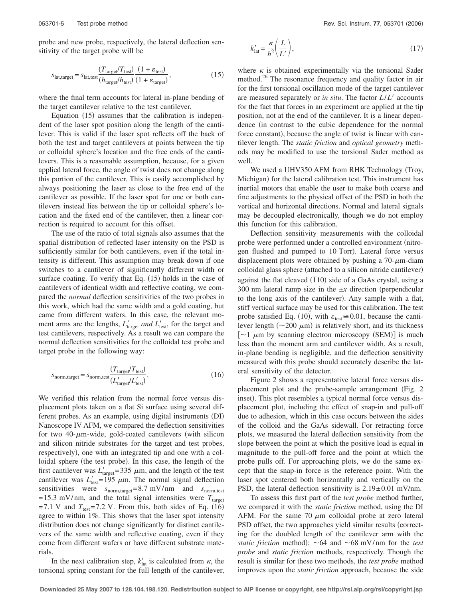probe and new probe, respectively, the lateral deflection sensitivity of the target probe will be

$$
s_{\text{lat,target}} = s_{\text{lat,test}} \frac{(T_{\text{target}}/T_{\text{test}})}{(h_{\text{target}}/h_{\text{test}})} \frac{(1 + \varepsilon_{\text{test}})}{(1 + \varepsilon_{\text{target}})},
$$
(15)

where the final term accounts for lateral in-plane bending of the target cantilever relative to the test cantilever.

Equation  $(15)$  assumes that the calibration is independent of the laser spot position along the length of the cantilever. This is valid if the laser spot reflects off the back of both the test and target cantilevers at points between the tip or colloidal sphere's location and the free ends of the cantilevers. This is a reasonable assumption, because, for a given applied lateral force, the angle of twist does not change along this portion of the cantilever. This is easily accomplished by always positioning the laser as close to the free end of the cantilever as possible. If the laser spot for one or both cantilevers instead lies between the tip or colloidal sphere's location and the fixed end of the cantilever, then a linear correction is required to account for this offset.

The use of the ratio of total signals also assumes that the spatial distribution of reflected laser intensity on the PSD is sufficiently similar for both cantilevers, even if the total intensity is different. This assumption may break down if one switches to a cantilever of significantly different width or surface coating. To verify that Eq.  $(15)$  holds in the case of cantilevers of identical width and reflective coating, we compared the *normal* deflection sensitivities of the two probes in this work, which had the same width and a gold coating, but came from different wafers. In this case, the relevant moment arms are the lengths,  $L'_{\text{target}}$  *and*  $L'_{\text{test}}$ , for the target and test cantilevers, respectively. As a result we can compare the normal deflection sensitivities for the colloidal test probe and target probe in the following way:

$$
s_{\text{norm,target}} = s_{\text{norm,test}} \frac{(T_{\text{target}}/T_{\text{test}})}{(L'_{\text{target}}/L'_{\text{test}})}.
$$
(16)

We verified this relation from the normal force versus displacement plots taken on a flat Si surface using several different probes. As an example, using digital instruments (DI) Nanoscope IV AFM, we compared the deflection sensitivities for two 40- $\mu$ m-wide, gold-coated cantilevers (with silicon and silicon nitride substrates for the target and test probes, respectively), one with an integrated tip and one with a colloidal sphere (the test probe). In this case, the length of the first cantilever was  $L'_{\text{target}} = 335 \mu \text{m}$ , and the length of the test cantilever was  $L'_{\text{test}} = 195 \mu \text{m}$ . The normal signal deflection sensitivities were *s*norm,target=8.7 mV/nm and *s*norm,test  $=15.3$  mV/nm, and the total signal intensities were  $T_{\text{target}}$  $=7.1$  V and  $T_{\text{test}}=7.2$  V. From this, both sides of Eq. (16) agree to within 1%. This shows that the laser spot intensity distribution does not change significantly for distinct cantilevers of the same width and reflective coating, even if they come from different wafers or have different substrate materials.

In the next calibration step,  $k'_{lat}$  is calculated from  $\kappa$ , the torsional spring constant for the full length of the cantilever,

$$
k'_{\text{lat}} = \frac{\kappa}{h^2} \left( \frac{L}{L'} \right),\tag{17}
$$

where  $\kappa$  is obtained experimentally via the torsional Sader method.<sup>26</sup> The resonance frequency and quality factor in air for the first torsional oscillation mode of the target cantilever are measured separately or *in situ*. The factor *L*/*L*! accounts for the fact that forces in an experiment are applied at the tip position, not at the end of the cantilever. It is a linear dependence (in contrast to the cubic dependence for the normal force constant), because the angle of twist is linear with cantilever length. The *static friction* and *optical geometry* methods may be modified to use the torsional Sader method as well.

We used a UHV350 AFM from RHK Technology (Troy, Michigan) for the lateral calibration test. This instrument has inertial motors that enable the user to make both coarse and fine adjustments to the physical offset of the PSD in both the vertical and horizontal directions. Normal and lateral signals may be decoupled electronically, though we do not employ this function for this calibration.

Deflection sensitivity measurements with the colloidal probe were performed under a controlled environment (nitrogen flushed and pumped to 10 Torr). Lateral force versus displacement plots were obtained by pushing a  $70-\mu$ m-diam colloidal glass sphere (attached to a silicon nitride cantilever) against the flat cleaved  $(\overline{1}10)$  side of a GaAs crystal, using a 300 nm lateral ramp size in the  $\pm x$  direction (perpendicular to the long axis of the cantilever). Any sample with a flat, stiff vertical surface may be used for this calibration. The test probe satisfied Eq. (10), with  $\varepsilon_{\text{test}} \approx 0.01$ , because the cantilever length  $({\sim}200 \mu m)$  is relatively short, and its thickness  $\lceil$  ~1  $\mu$ m by scanning electron microscopy (SEM) is much less than the moment arm and cantilever width. As a result, in-plane bending is negligible, and the deflection sensitivity measured with this probe should accurately describe the lateral sensitivity of the detector.

Figure 2 shows a representative lateral force versus displacement plot and the probe-sample arrangement (Fig. 2) inset). This plot resembles a typical normal force versus displacement plot, including the effect of snap-in and pull-off due to adhesion, which in this case occurs between the sides of the colloid and the GaAs sidewall. For retracting force plots, we measured the lateral deflection sensitivity from the slope between the point at which the positive load is equal in magnitude to the pull-off force and the point at which the probe pulls off. For approaching plots, we do the same except that the snap-in force is the reference point. With the laser spot centered both horizontally and vertically on the PSD, the lateral deflection sensitivity is  $2.19 \pm 0.01$  mV/nm.

To assess this first part of the *test probe* method further, we compared it with the *static friction* method, using the DI AFM. For the same 70  $\mu$ m colloidal probe at zero lateral PSD offset, the two approaches yield similar results (correcting for the doubled length of the cantilever arm with the *static friction* method):  $\sim 64$  and  $\sim 68$  mV/nm for the *test probe* and *static friction* methods, respectively. Though the result is similar for these two methods, the *test probe* method improves upon the *static friction* approach, because the side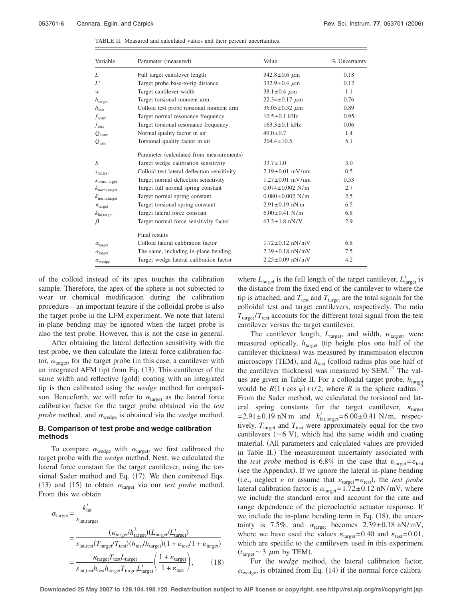| Variable                       | Parameter (measured)                        | Value                   | % Uncertainty |
|--------------------------------|---------------------------------------------|-------------------------|---------------|
| L                              | Full target cantilever length               | $342.8 \pm 0.6 \ \mu m$ | 0.18          |
| Ľ'                             | Target probe base-to-tip distance           | $332.9 \pm 0.4 \mu m$   | 0.12          |
| w                              | Target cantilever width                     | $38.1 \pm 0.4 \mu m$    | 1.1           |
| $h_{\text{target}}$            | Target torsional moment arm                 | $22.34 \pm 0.17 \mu m$  | 0.76          |
| $h_{\text{test}}$              | Colloid test probe torsional moment arm     | $36.05 \pm 0.32 \mu m$  | 0.89          |
| $f_{\rm norm}$                 | Target normal resonance frequency           | $10.5 \pm 0.1$ kHz      | 0.95          |
| $f_{\rm tors}$                 | Target torsional resonance frequency        | $163.3 \pm 0.1$ kHz     | 0.06          |
| $\mathcal Q_{\text{\rm norm}}$ | Normal quality factor in air                | $49.0 \pm 0.7$          | 1.4           |
| $\mathcal{Q}_\text{tors}$      | Torsional quality factor in air             | $204.4 \pm 10.5$        | 5.1           |
|                                | Parameter (calculated from measurements)    |                         |               |
| S                              | Target wedge calibration sensitivity        | $33.7 \pm 1.0$          | 3.0           |
| $S_{\text{lat.test}}$          | Colloid test lateral deflection sensitivity | $2.19 \pm 0.01$ mV/nm   | 0.5           |
| $s_{\text{norm,target}}$       | Target normal deflection sensitivity        | $1.27 \pm 0.01$ mV/nm   | 0.53          |
| $k_{\text{norm,target}}$       | Target full normal spring constant          | $0.074 \pm 0.002$ N/m   | 2.7           |
| $k'_{\text{norm,target}}$      | Target normal spring constant               | $0.080 \pm 0.002$ N/m   | 2.5           |
| $\kappa_{\text{target}}$       | Target torsional spring constant            | $2.91 \pm 0.19$ nN m    | 6.5           |
| $k_{\rm lat.tarset}$           | Target lateral force constant               | $6.00 \pm 0.41$ N/m     | 6.8           |
| β                              | Target normal force sensitivity factor      | $63.3 \pm 1.8$ nN/V     | 2.9           |
|                                | Final results                               |                         |               |
| $\alpha_{\text{target}}$       | Colloid lateral calibration factor          | $1.72 \pm 0.12$ nN/mV   | 6.8           |
| $\alpha_{\text{target}}$       | The same, including in-plane bending        | $2.39 \pm 0.18$ nN/mV   | 7.5           |
| $\alpha_{\text{wedge}}$        | Target wedge lateral calibration factor     | $2.25 \pm 0.09$ nN/mV   | 4.2           |

TABLE II. Measured and calculated values and their percent uncertainties.

of the colloid instead of its apex touches the calibration sample. Therefore, the apex of the sphere is not subjected to wear or chemical modification during the calibration procedure—an important feature if the colloidal probe is also the target probe in the LFM experiment. We note that lateral in-plane bending may be ignored when the target probe is also the test probe. However, this is not the case in general.

After obtaining the lateral deflection sensitivity with the test probe, we then calculate the lateral force calibration factor,  $\alpha_{\text{target}}$ , for the target probe (in this case, a cantilever with an integrated AFM tip) from Eq.  $(13)$ . This cantilever of the same width and reflective (gold) coating with an integrated tip is then calibrated using the *wedge* method for comparison. Henceforth, we will refer to  $\alpha_{\text{target}}$  as the lateral force calibration factor for the target probe obtained via the *test probe* method, and  $\alpha_{\text{wedge}}$  is obtained via the *wedge* method.

## **B. Comparison of test probe and wedge calibration methods**

To compare  $\alpha_{\text{wedge}}$  with  $\alpha_{\text{target}}$ , we first calibrated the target probe with the *wedge* method. Next, we calculated the lateral force constant for the target cantilever, using the torsional Sader method and Eq.  $(17)$ . We then combined Eqs. (13) and (15) to obtain  $\alpha_{\text{target}}$  via our *test probe* method. From this we obtain

$$
\alpha_{\text{target}} = \frac{k'_{\text{lat}}}{s_{\text{lat,target}}}
$$
\n
$$
= \frac{(\kappa_{\text{target}}/h_{\text{target}}^2)(L_{\text{target}}/L_{\text{target}}')}{s_{\text{lat,test}}(T_{\text{target}}/T_{\text{test}})(h_{\text{test}}/h_{\text{target}})(1 + \varepsilon_{\text{test}}/1 + \varepsilon_{\text{target}})}
$$
\n
$$
= \frac{\kappa_{\text{target}}T_{\text{test}}L_{\text{target}}}{s_{\text{lat,test}}h_{\text{test}}h_{\text{target}}T_{\text{target}}L_{\text{target}}'} \left(\frac{1 + \varepsilon_{\text{target}}}{1 + \varepsilon_{\text{test}}}\right),\tag{18}
$$

where  $L_{\text{target}}$  is the full length of the target cantilever,  $L'_{\text{target}}$  is the distance from the fixed end of the cantilever to where the tip is attached, and  $T_{\text{test}}$  and  $T_{\text{target}}$  are the total signals for the colloidal test and target cantilevers, respectively. The ratio  $T_{\text{target}}/T_{\text{test}}$  accounts for the different total signal from the test cantilever versus the target cantilever.

The cantilever length,  $L_{\text{target}}$ , and width,  $w_{\text{target}}$ , were measured optically,  $h_{\text{target}}$  (tip height plus one half of the cantilever thickness) was measured by transmission electron microscopy (TEM), and  $h_{\text{test}}$  (colloid radius plus one half of the cantilever thickness) was measured by  $SEM<sup>27</sup>$ . The values are given in Table II. For a colloidal target probe,  $h_{\text{target}}$ would be  $R(1+\cos\varphi)+t/2$ , where *R* is the sphere radius. From the Sader method, we calculated the torsional and lateral spring constants for the target cantilever,  $\kappa_{\text{target}}$  $=2.91 \pm 0.19 \text{ nN m}$  and  $k'_{\text{latt,target}} = 6.00 \pm 0.41 \text{ N/m}$ , respectively.  $T_{\text{target}}$  and  $T_{\text{test}}$  were approximately equal for the two cantilevers  $(\sim 6 \text{ V})$ , which had the same width and coating material. (All parameters and calculated values are provided in Table II.) The measurement uncertainty associated with the *test probe* method is 6.8% in the case that  $\varepsilon_{\text{target}} = \varepsilon_{\text{test}}$ (see the Appendix). If we ignore the lateral in-plane bending (i.e., neglect  $\varepsilon$  or assume that  $\varepsilon_{\text{target}} = \varepsilon_{\text{test}}$ ), the *test probe* lateral calibration factor is  $\alpha_{\text{target}}=1.72\pm0.12 \text{ nN/mV}$ , where we include the standard error and account for the rate and range dependence of the piezoelectric actuator response. If we include the in-plane bending term in Eq.  $(18)$ , the uncertainty is 7.5%, and  $\alpha_{\text{target}}$  becomes 2.39±0.18 nN/mV, where we have used the values  $\varepsilon_{\text{target}}$ =0.40 and  $\varepsilon_{\text{test}}$ =0.01, which are specific to the cantilevers used in this experiment  $(t<sub>target</sub> \sim 3 \mu m$  by TEM).

For the *wedge* method, the lateral calibration factor,  $\alpha_{\text{wedge}}$ , is obtained from Eq. (14) if the normal force calibra-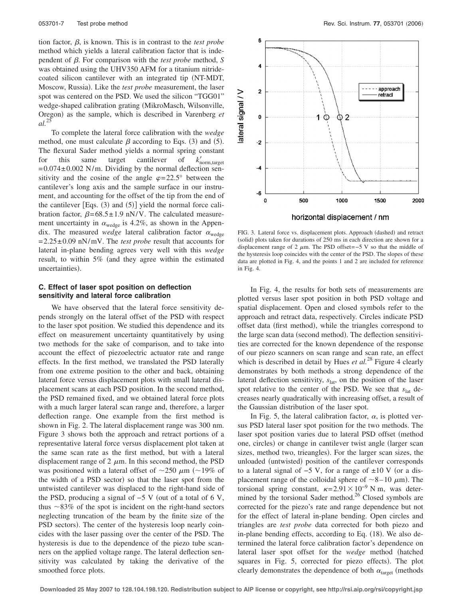tion factor,  $\beta$ , is known. This is in contrast to the *test probe* method which yields a lateral calibration factor that is independent of  $\beta$ . For comparison with the *test probe* method,  $S$ was obtained using the UHV350 AFM for a titanium nitridecoated silicon cantilever with an integrated tip (NT-MDT, Moscow, Russia). Like the *test probe* measurement, the laser spot was centered on the PSD. We used the silicon "TGG01" wedge-shaped calibration grating (MikroMasch, Wilsonville, Oregon) as the sample, which is described in Varenberg et *al.*<sup>25</sup>

To complete the lateral force calibration with the *wedge* method, one must calculate  $\beta$  according to Eqs. (3) and (5). The flexural Sader method yields a normal spring constant for this same target cantilever of  $k_{\text{norm,target}}'$  $=0.074\pm0.002$  N/m. Dividing by the normal deflection sensitivity and the cosine of the angle  $\varphi = 22.5^{\circ}$  between the cantilever's long axis and the sample surface in our instrument, and accounting for the offset of the tip from the end of the cantilever  $|Eqs. (3)$  and  $(5)|$  yield the normal force calibration factor,  $\beta = 68.5 \pm 1.9$  nN/V. The calculated measurement uncertainty in  $\alpha_{\text{wedge}}$  is 4.2%, as shown in the Appendix. The measured *wedge* lateral calibration factor  $\alpha_{\text{wedge}}$ =2.25±0.09 nN/mV. The *test probe* result that accounts for lateral in-plane bending agrees very well with this *wedge* result, to within 5% (and they agree within the estimated uncertainties).

#### **C. Effect of laser spot position on deflection sensitivity and lateral force calibration**

We have observed that the lateral force sensitivity depends strongly on the lateral offset of the PSD with respect to the laser spot position. We studied this dependence and its effect on measurement uncertainty quantitatively by using two methods for the sake of comparison, and to take into account the effect of piezoelectric actuator rate and range effects. In the first method, we translated the PSD laterally from one extreme position to the other and back, obtaining lateral force versus displacement plots with small lateral displacement scans at each PSD position. In the second method, the PSD remained fixed, and we obtained lateral force plots with a much larger lateral scan range and, therefore, a larger deflection range. One example from the first method is shown in Fig. 2. The lateral displacement range was 300 nm. Figure 3 shows both the approach and retract portions of a representative lateral force versus displacement plot taken at the same scan rate as the first method, but with a lateral displacement range of 2  $\mu$ m. In this second method, the PSD was positioned with a lateral offset of  $\sim$ 250  $\mu$ m ( $\sim$ 19% of the width of a PSD sector) so that the laser spot from the untwisted cantilever was displaced to the right-hand side of the PSD, producing a signal of  $-5$  V (out of a total of 6 V, thus  $\sim$ 83% of the spot is incident on the right-hand sectors neglecting truncation of the beam by the finite size of the PSD sectors). The center of the hysteresis loop nearly coincides with the laser passing over the center of the PSD. The hysteresis is due to the dependence of the piezo tube scanners on the applied voltage range. The lateral deflection sensitivity was calculated by taking the derivative of the smoothed force plots.



FIG. 3. Lateral force vs. displacement plots. Approach (dashed) and retract (solid) plots taken for durations of 250 ms in each direction are shown for a displacement range of 2  $\mu$ m. The PSD offset=−5 V so that the middle of the hysteresis loop coincides with the center of the PSD. The slopes of these data are plotted in Fig. 4, and the points 1 and 2 are included for reference in Fig. 4.

In Fig. 4, the results for both sets of measurements are plotted versus laser spot position in both PSD voltage and spatial displacement. Open and closed symbols refer to the approach and retract data, respectively. Circles indicate PSD offset data (first method), while the triangles correspond to the large scan data (second method). The deflection sensitivities are corrected for the known dependence of the response of our piezo scanners on scan range and scan rate, an effect which is described in detail by Hues *et al.*<sup>28</sup> Figure 4 clearly demonstrates by both methods a strong dependence of the lateral deflection sensitivity,  $s<sub>lat</sub>$ , on the position of the laser spot relative to the center of the PSD. We see that  $s<sub>lat</sub>$  decreases nearly quadratically with increasing offset, a result of the Gaussian distribution of the laser spot.

In Fig. 5, the lateral calibration factor,  $\alpha$ , is plotted versus PSD lateral laser spot position for the two methods. The laser spot position varies due to lateral PSD offset (method one, circles) or change in cantilever twist angle (larger scan sizes, method two, trieangles). For the larger scan sizes, the unloaded (untwisted) position of the cantilever corresponds to a lateral signal of  $-5$  V, for a range of  $\pm 10$  V (or a displacement range of the colloidal sphere of  $\sim$ 8–10  $\mu$ m). The torsional spring constant,  $\kappa = 2.91 \times 10^{-9}$  N m, was determined by the torsional Sader method.<sup>26</sup> Closed symbols are corrected for the piezo's rate and range dependence but not for the effect of lateral in-plane bending. Open circles and triangles are *test probe* data corrected for both piezo and in-plane bending effects, according to Eq.  $(18)$ . We also determined the lateral force calibration factor's dependence on lateral laser spot offset for the *wedge* method (hatched squares in Fig. 5, corrected for piezo effects). The plot clearly demonstrates the dependence of both  $\alpha_{\text{target}}$  (methods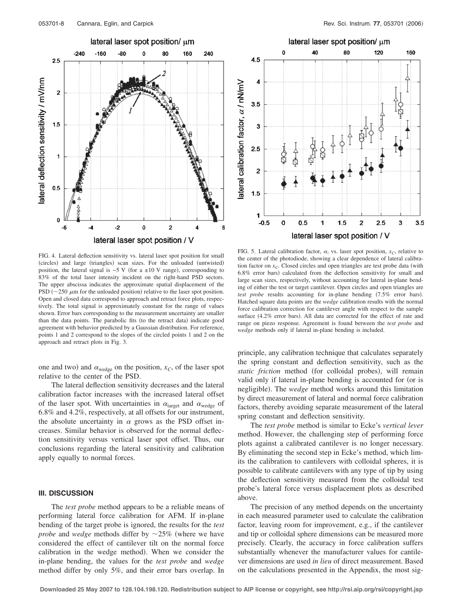



FIG. 4. Lateral deflection sensitivity vs. lateral laser spot position for small (circles) and large (triangles) scan sizes. For the unloaded (untwisted) position, the lateral signal is  $-5$  V (for a ±10 V range), corresponding to 83% of the total laser intensity incident on the right-hand PSD sectors. The upper abscissa indicates the approximate spatial displacement of the PSD  $(\sim 250 \ \mu \text{m}$  for the unloaded position) relative to the laser spot position. Open and closed data correspond to approach and retract force plots, respectively. The total signal is approximately constant for the range of values shown. Error bars corresponding to the measurement uncertainty are smaller than the data points. The parabolic fits (to the retract data) indicate good agreement with behavior predicted by a Gaussian distribution. For reference, points 1 and 2 correspond to the slopes of the circled points 1 and 2 on the approach and retract plots in Fig. 3.

one and two) and  $\alpha_{\text{wedge}}$  on the position,  $x_C$ , of the laser spot relative to the center of the PSD.

The lateral deflection sensitivity decreases and the lateral calibration factor increases with the increased lateral offset of the laser spot. With uncertainties in  $\alpha_{\text{target}}$  and  $\alpha_{\text{wedge}}$  of 6.8% and 4.2%, respectively, at all offsets for our instrument, the absolute uncertainty in  $\alpha$  grows as the PSD offset increases. Similar behavior is observed for the normal deflection sensitivity versus vertical laser spot offset. Thus, our conclusions regarding the lateral sensitivity and calibration apply equally to normal forces.

#### **III. DISCUSSION**

The *test probe* method appears to be a reliable means of performing lateral force calibration for AFM. If in-plane bending of the target probe is ignored, the results for the *test probe* and *wedge* methods differ by  $\sim$ 25% (where we have considered the effect of cantilever tilt on the normal force calibration in the wedge method). When we consider the in-plane bending, the values for the *test probe* and *wedge* method differ by only 5%, and their error bars overlap. In

FIG. 5. Lateral calibration factor,  $\alpha$ , vs. laser spot position,  $x_C$ , relative to the center of the photodiode, showing a clear dependence of lateral calibration factor on  $x_C$ . Closed circles and open triangles are test probe data (with  $6.8\%$  error bars) calculated from the deflection sensitivity for small and large scan sizes, respectively, without accounting for lateral in-plane bending of either the test or target cantilever. Open circles and open triangles are *test probe* results accounting for in-plane bending (7.5% error bars). Hatched square data points are the *wedge* calibration results with the normal force calibration correction for cantilever angle with respect to the sample surface (4.2% error bars). All data are corrected for the effect of rate and range on piezo response. Agreement is found between the *test probe* and *wedge* methods only if lateral in-plane bending is included.

principle, any calibration technique that calculates separately the spring constant and deflection sensitivity, such as the *static friction* method (for colloidal probes), will remain valid only if lateral in-plane bending is accounted for (or is negligible). The *wedge* method works around this limitation by direct measurement of lateral and normal force calibration factors, thereby avoiding separate measurement of the lateral spring constant and deflection sensitivity.

The *test probe* method is similar to Ecke's *vertical lever* method. However, the challenging step of performing force plots against a calibrated cantilever is no longer necessary. By eliminating the second step in Ecke's method, which limits the calibration to cantilevers with colloidal spheres, it is possible to calibrate cantilevers with any type of tip by using the deflection sensitivity measured from the colloidal test probe's lateral force versus displacement plots as described above.

The precision of any method depends on the uncertainty in each measured parameter used to calculate the calibration factor, leaving room for improvement, e.g., if the cantilever and tip or colloidal sphere dimensions can be measured more precisely. Clearly, the accuracy in force calibration suffers substantially whenever the manufacturer values for cantilever dimensions are used *in lieu* of direct measurement. Based on the calculations presented in the Appendix, the most sig-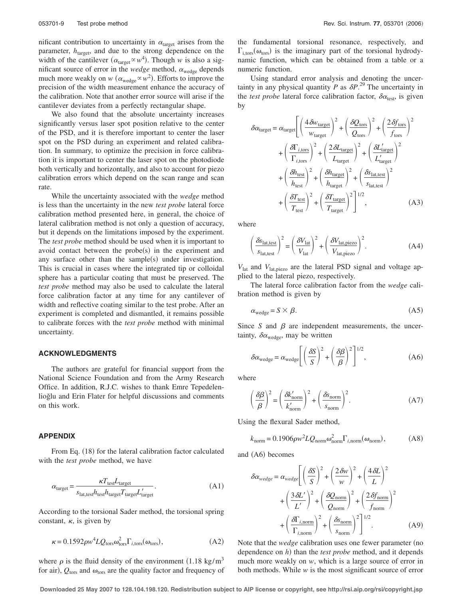nificant contribution to uncertainty in  $\alpha$ <sub>target</sub> arises from the parameter,  $h_{\text{target}}$ , and due to the strong dependence on the width of the cantilever  $(\alpha_{\text{target}} \propto w^4)$ . Though *w* is also a significant source of error in the *wedge* method,  $\alpha_{\text{wedge}}$  depends much more weakly on  $w$  ( $\alpha_{\text{wedge}} \propto w^2$ ). Efforts to improve the precision of the width measurement enhance the accuracy of the calibration. Note that another error source will arise if the cantilever deviates from a perfectly rectangular shape.

We also found that the absolute uncertainty increases significantly versus laser spot position relative to the center of the PSD, and it is therefore important to center the laser spot on the PSD during an experiment and related calibration. In summary, to optimize the precision in force calibration it is important to center the laser spot on the photodiode both vertically and horizontally, and also to account for piezo calibration errors which depend on the scan range and scan rate.

While the uncertainty associated with the *wedge* method is less than the uncertainty in the new *test probe* lateral force calibration method presented here, in general, the choice of lateral calibration method is not only a question of accuracy, but it depends on the limitations imposed by the experiment. The *test probe* method should be used when it is important to avoid contact between the probe(s) in the experiment and any surface other than the sample(s) under investigation. This is crucial in cases where the integrated tip or colloidal sphere has a particular coating that must be preserved. The *test probe* method may also be used to calculate the lateral force calibration factor at any time for any cantilever of width and reflective coating similar to the test probe. After an experiment is completed and dismantled, it remains possible to calibrate forces with the *test probe* method with minimal uncertainty.

#### **ACKNOWLEDGMENTS**

The authors are grateful for financial support from the National Science Foundation and from the Army Research Office. In addition, R.J.C. wishes to thank Emre Tepedelenlioğlu and Erin Flater for helpful discussions and comments on this work.

# **APPENDIX**

From Eq. (18) for the lateral calibration factor calculated with the *test probe* method, we have

$$
\alpha_{\text{target}} = \frac{\kappa T_{\text{test}} L_{\text{target}}}{s_{\text{lat,test}} h_{\text{test}} h_{\text{target}} T_{\text{target}} L'_{\text{target}}}. \tag{A1}
$$

According to the torsional Sader method, the torsional spring constant,  $\kappa$ , is given by

$$
\kappa = 0.1592 \rho w^4 L Q_{\text{tors}} \omega_{\text{tors}}^2 \Gamma_{i,\text{tors}}(\omega_{\text{tors}}),\tag{A2}
$$

where  $\rho$  is the fluid density of the environment (1.18 kg/m<sup>3</sup>) for air),  $Q_{\text{tors}}$  and  $\omega_{\text{tors}}$  are the quality factor and frequency of the fundamental torsional resonance, respectively, and  $\Gamma_{\text{i.tors}}(\omega_{\text{tors}})$  is the imaginary part of the torsional hydrodynamic function, which can be obtained from a table or a numeric function.

Using standard error analysis and denoting the uncertainty in any physical quantity *P* as  $\delta P$ <sup>29</sup>. The uncertainty in the *test probe* lateral force calibration factor,  $\delta \alpha_{\text{test}}$ , is given by

$$
\delta \alpha_{\text{target}} = \alpha_{\text{target}} \left[ \left( \frac{4 \delta w_{\text{target}}}{w_{\text{target}}} \right)^2 + \left( \frac{\delta Q_{\text{tors}}}{Q_{\text{tors}}} \right)^2 + \left( \frac{2 \delta f_{\text{tors}}}{f_{\text{tors}}} \right)^2 + \left( \frac{\delta \Gamma_{i,\text{tors}}}{\Gamma_{i,\text{tors}}} \right)^2 + \left( \frac{\delta \Gamma_{\text{target}}}{\Gamma_{\text{target}}} \right)^2 + \left( \frac{\delta \Gamma_{\text{target}}}{\Gamma_{\text{target}}} \right)^2 + \left( \frac{\delta h_{\text{test}}}{h_{\text{test}}} \right)^2 + \left( \frac{\delta h_{\text{target}}}{h_{\text{target}}} \right)^2 + \left( \frac{\delta s_{\text{latt,test}}}{s_{\text{lat,test}}} \right)^2 + \left( \frac{\delta T_{\text{test}}}{T_{\text{test}}} \right)^2 + \left( \frac{\delta T_{\text{target}}}{T_{\text{target}}} \right)^2 \left( \frac{\delta T_{\text{target}}}{T_{\text{target}}} \right)^2 \tag{A3}
$$

where

$$
\left(\frac{\delta S_{\text{lat,test}}}{S_{\text{lat,test}}}\right)^2 = \left(\frac{\delta V_{\text{lat}}}{V_{\text{lat}}}\right)^2 + \left(\frac{\delta V_{\text{lat,piezo}}}{V_{\text{lat,piezo}}}\right)^2.
$$
\n(A4)

*V*lat and *V*lat,piezo are the lateral PSD signal and voltage applied to the lateral piezo, respectively.

The lateral force calibration factor from the *wedge* calibration method is given by

$$
\alpha_{\text{wedge}} = S \times \beta. \tag{A5}
$$

Since *S* and  $\beta$  are independent measurements, the uncertainty,  $\delta \alpha_{\text{wedge}}$ , may be written

$$
\delta \alpha_{\text{wedge}} = \alpha_{\text{wedge}} \left[ \left( \frac{\delta S}{S} \right)^2 + \left( \frac{\delta \beta}{\beta} \right)^2 \right]^{1/2}, \tag{A6}
$$

where

$$
\left(\frac{\delta\beta}{\beta}\right)^2 = \left(\frac{\delta k'_{\text{norm}}}{k'_{\text{norm}}}\right)^2 + \left(\frac{\delta s_{\text{norm}}}{s_{\text{norm}}}\right)^2.
$$
 (A7)

Using the flexural Sader method,

$$
k_{\text{norm}} = 0.1906 \rho w^2 L Q_{\text{norm}} \omega_{\text{norm}}^2 \Gamma_{i,\text{norm}}(\omega_{\text{norm}}),
$$
 (A8)

and  $($ A6 $)$  becomes

$$
\delta \alpha_{wedge} = \alpha_{wedge} \left[ \left( \frac{\delta S}{S} \right)^2 + \left( \frac{2 \delta w}{w} \right)^2 + \left( \frac{4 \delta L}{L} \right)^2 + \left( \frac{3 \delta L'}{L'} \right)^2 + \left( \frac{3 \delta L'}{L'} \right)^2 + \left( \frac{\delta Q_{\text{norm}}}{Q_{\text{norm}}} \right)^2 + \left( \frac{2 \delta f_{\text{norm}}}{f_{\text{norm}}} \right)^2 + \left( \frac{\delta \Gamma_{i,\text{norm}}}{\Gamma_{i,\text{norm}}} \right)^2 + \left( \frac{\delta s_{\text{norm}}}{s_{\text{norm}}} \right)^2 \left[ \frac{1}{2} \right]^{1/2} . \tag{A9}
$$

Note that the *wedge* calibration uses one fewer parameter (no dependence on *h*) than the *test probe* method, and it depends much more weakly on *w*, which is a large source of error in both methods. While *w* is the most significant source of error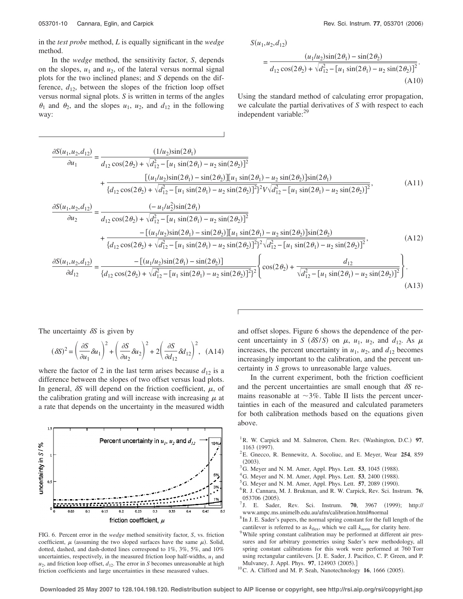in the *test probe* method, *L* is equally significant in the *wedge* method.

In the *wedge* method, the sensitivity factor, *S*, depends on the slopes,  $u_1$  and  $u_2$ , of the lateral versus normal signal plots for the two inclined planes; and *S* depends on the difference,  $d_{12}$ , between the slopes of the friction loop offset versus normal signal plots. *S* is written in terms of the angles  $\theta_1$  and  $\theta_2$ , and the slopes  $u_1$ ,  $u_2$ , and  $d_{12}$  in the following way:

 $S(u_1, u_2, d_1)$ 

$$
= \frac{(u_1/u_2)\sin(2\theta_1) - \sin(2\theta_2)}{d_{12}\cos(2\theta_2) + \sqrt{d_{12}^2 - [u_1 \sin(2\theta_1) - u_2 \sin(2\theta_2)]^2}}.
$$
\n(A10)

Using the standard method of calculating error propagation, we calculate the partial derivatives of *S* with respect to each independent variable:<sup>29</sup>

$$
\frac{\partial S(u_1, u_2, d_{12})}{\partial u_1} = \frac{(1/u_2)\sin(2\theta_1)}{d_{12}\cos(2\theta_2) + \sqrt{d_{12}^2 - [u_1 \sin(2\theta_1) - u_2 \sin(2\theta_2)]^2}} + \frac{[(u_1/u_2)\sin(2\theta_1) - u_2 \sin(2\theta_2)][u_1 \sin(2\theta_1) - u_2 \sin(2\theta_2)]\sin(2\theta_1)}{d_{12}\cos(2\theta_2) + \sqrt{d_{12}^2 - [u_1 \sin(2\theta_1) - u_2 \sin(2\theta_2)]^2}^2} \times \sqrt{d_{12}^2 - [u_1 \sin(2\theta_1) - u_2 \sin(2\theta_2)]^2},
$$
\n(A11)  
\n
$$
\frac{\partial S(u_1, u_2, d_{12})}{\partial u_2} = \frac{(-u_1/u_2^2)\sin(2\theta_1)}{d_{12}\cos(2\theta_2) + \sqrt{d_{12}^2 - [u_1 \sin(2\theta_1) - u_2 \sin(2\theta_2)]^2}} + \frac{-(u_1/u_2)\sin(2\theta_1) - u_2 \sin(2\theta_2)}{d_{12}\cos(2\theta_2) + \sqrt{d_{12}^2 - [u_1 \sin(2\theta_1) - u_2 \sin(2\theta_2)]^2}^2} \times \frac{A_{12}^2 - [u_1 \sin(2\theta_1) - u_2 \sin(2\theta_2)]^2}{(d_{12}\cos(2\theta_2) + \sqrt{d_{12}^2 - [u_1 \sin(2\theta_1) - u_2 \sin(2\theta_2)]^2}^2} \times \frac{A_{12}}{d_{12}^2 - [u_1 \sin(2\theta_1) - u_2 \sin(2\theta_2)]^2} \times \frac{A_{12}}{d_{12}^2 - [u_1 \sin(2\theta_1) - u_2 \sin(2\theta_2)]^2} \times \frac{A_{12}}{d_{12}^2 - [u_1 \sin(2\theta_1) - u_2 \sin(2\theta_2)]^2} \times \frac{A_{12}}{d_{12}^2 - [u_1 \sin(2\theta_1) - u_2 \sin(2\theta_
$$

The uncertainty  $\delta S$  is given by

$$
(\delta S)^2 = \left(\frac{\partial S}{\partial u_1}\delta u_1\right)^2 + \left(\frac{\partial S}{\partial u_2}\delta u_2\right)^2 + 2\left(\frac{\partial S}{\partial d_{12}}\delta d_{12}\right)^2, \quad (A14)
$$

where the factor of 2 in the last term arises because  $d_{12}$  is a difference between the slopes of two offset versus load plots. In general,  $\delta S$  will depend on the friction coefficient,  $\mu$ , of the calibration grating and will increase with increasing  $\mu$  at a rate that depends on the uncertainty in the measured width



FIG. 6. Percent error in the *wedge* method sensitivity factor, *S*, vs. friction coefficient,  $\mu$  (assuming the two sloped surfaces have the same  $\mu$ ). Solid, dotted, dashed, and dash-dotted lines correspond to 1%, 3%, 5%, and 10% uncertainties, respectively, in the measured friction loop half-widths,  $u_1$  and  $u_2$ , and friction loop offset,  $d_{12}$ . The error in *S* becomes unreasonable at high friction coefficients and large uncertainties in these measured values.

and offset slopes. Figure 6 shows the dependence of the percent uncertainty in *S* ( $\delta S/S$ ) on  $\mu$ ,  $u_1$ ,  $u_2$ , and  $d_{12}$ . As  $\mu$ increases, the percent uncertainty in  $u_1$ ,  $u_2$ , and  $d_{12}$  becomes increasingly important to the calibration, and the percent uncertainty in *S* grows to unreasonable large values.

In the current experiment, both the friction coefficient and the percent uncertainties are small enough that  $\delta S$  remains reasonable at  $\sim$ 3%. Table II lists the percent uncertainties in each of the measured and calculated parameters for both calibration methods based on the equations given above.

- <sup>1</sup> R. W. Carpick and M. Salmeron, Chem. Rev. (Washington, D.C.) 97, 1163 (1997).
- E. Gnecco, R. Bennewitz, A. Socoliuc, and E. Meyer, Wear **254**, 859  $(2003)$ .
- ${}^{3}$ G. Meyer and N. M. Amer, Appl. Phys. Lett. **53**, 1045 (1988).
- ${}^4$ G. Meyer and N. M. Amer, Appl. Phys. Lett. **53**, 2400 (1988).
- G. Meyer and N. M. Amer, Appl. Phys. Lett. **57**, 2089 (1990).
- R. J. Cannara, M. J. Brukman, and R. W. Carpick, Rev. Sci. Instrum. **76**, 053706 (2005).
- J. E. Sader, Rev. Sci. Instrum. **70**, 3967 (1999); http:// www.ampc.ms.unimelb.edu.au/afm/calibration.html#normal <sup>8</sup>
- ${}^{8}$  In J. E. Sader's papers, the normal spring constant for the full length of the cantilever is referred to as  $k_{\text{flex}}$ , which we call  $k_{\text{norm}}$  for clarity here.
- While spring constant calibration may be performed at different air pressures and for arbitrary geometries using Sader's new methodology, all spring constant calibrations for this work were performed at 760 Torr using rectangular cantilevers. [J. E. Sader, J. Pacifico, C. P. Green, and P. Mulvaney, J. Appl. Phys. **97**, 124903 (2005).]<br><sup>10</sup>C. A. Clifford and M. P. Seah, Nanotechnology **16**, 1666 (2005).
-